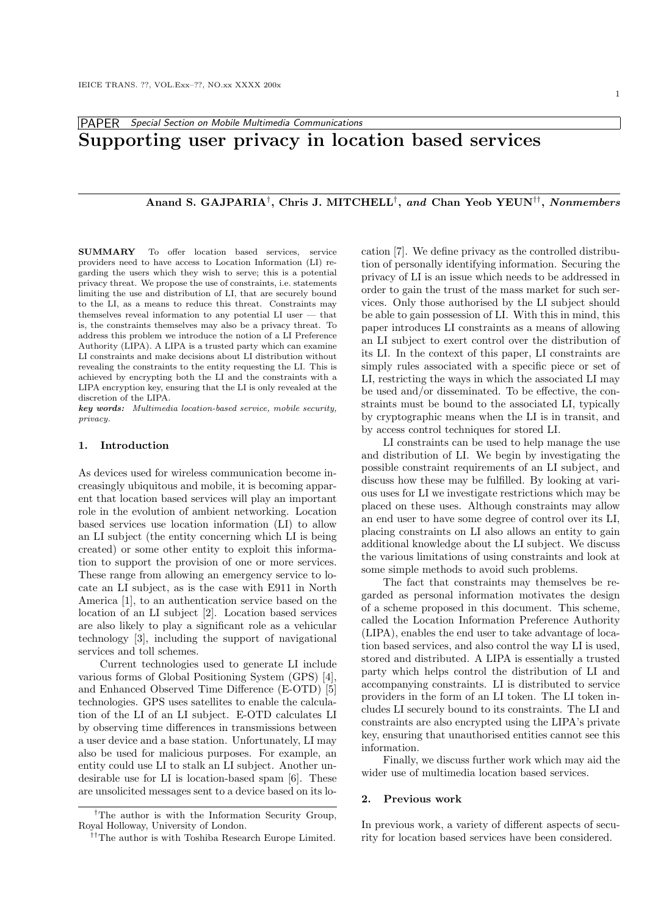1

PAPER Special Section on Mobile Multimedia Communications

# Supporting user privacy in location based services

Anand S. GAJPARIA<sup>†</sup>, Chris J. MITCHELL<sup>†</sup>, and Chan Yeob YEUN<sup>††</sup>, Nonmembers

SUMMARY To offer location based services, service providers need to have access to Location Information (LI) regarding the users which they wish to serve; this is a potential privacy threat. We propose the use of constraints, i.e. statements limiting the use and distribution of LI, that are securely bound to the LI, as a means to reduce this threat. Constraints may themselves reveal information to any potential LI user — that is, the constraints themselves may also be a privacy threat. To address this problem we introduce the notion of a LI Preference Authority (LIPA). A LIPA is a trusted party which can examine LI constraints and make decisions about LI distribution without revealing the constraints to the entity requesting the LI. This is achieved by encrypting both the LI and the constraints with a LIPA encryption key, ensuring that the LI is only revealed at the discretion of the LIPA.

key words: Multimedia location-based service, mobile security, privacy.

# 1. Introduction

As devices used for wireless communication become increasingly ubiquitous and mobile, it is becoming apparent that location based services will play an important role in the evolution of ambient networking. Location based services use location information (LI) to allow an LI subject (the entity concerning which LI is being created) or some other entity to exploit this information to support the provision of one or more services. These range from allowing an emergency service to locate an LI subject, as is the case with E911 in North America [1], to an authentication service based on the location of an LI subject [2]. Location based services are also likely to play a significant role as a vehicular technology [3], including the support of navigational services and toll schemes.

Current technologies used to generate LI include various forms of Global Positioning System (GPS) [4], and Enhanced Observed Time Difference (E-OTD) [5] technologies. GPS uses satellites to enable the calculation of the LI of an LI subject. E-OTD calculates LI by observing time differences in transmissions between a user device and a base station. Unfortunately, LI may also be used for malicious purposes. For example, an entity could use LI to stalk an LI subject. Another undesirable use for LI is location-based spam [6]. These are unsolicited messages sent to a device based on its location [7]. We define privacy as the controlled distribution of personally identifying information. Securing the privacy of LI is an issue which needs to be addressed in order to gain the trust of the mass market for such services. Only those authorised by the LI subject should be able to gain possession of LI. With this in mind, this paper introduces LI constraints as a means of allowing an LI subject to exert control over the distribution of its LI. In the context of this paper, LI constraints are simply rules associated with a specific piece or set of LI, restricting the ways in which the associated LI may be used and/or disseminated. To be effective, the constraints must be bound to the associated LI, typically by cryptographic means when the LI is in transit, and by access control techniques for stored LI.

LI constraints can be used to help manage the use and distribution of LI. We begin by investigating the possible constraint requirements of an LI subject, and discuss how these may be fulfilled. By looking at various uses for LI we investigate restrictions which may be placed on these uses. Although constraints may allow an end user to have some degree of control over its LI, placing constraints on LI also allows an entity to gain additional knowledge about the LI subject. We discuss the various limitations of using constraints and look at some simple methods to avoid such problems.

The fact that constraints may themselves be regarded as personal information motivates the design of a scheme proposed in this document. This scheme, called the Location Information Preference Authority (LIPA), enables the end user to take advantage of location based services, and also control the way LI is used, stored and distributed. A LIPA is essentially a trusted party which helps control the distribution of LI and accompanying constraints. LI is distributed to service providers in the form of an LI token. The LI token includes LI securely bound to its constraints. The LI and constraints are also encrypted using the LIPA's private key, ensuring that unauthorised entities cannot see this information.

Finally, we discuss further work which may aid the wider use of multimedia location based services.

### 2. Previous work

In previous work, a variety of different aspects of security for location based services have been considered.

<sup>&</sup>lt;sup>†</sup>The author is with the Information Security Group, Royal Holloway, University of London.

<sup>&</sup>lt;sup>††</sup>The author is with Toshiba Research Europe Limited.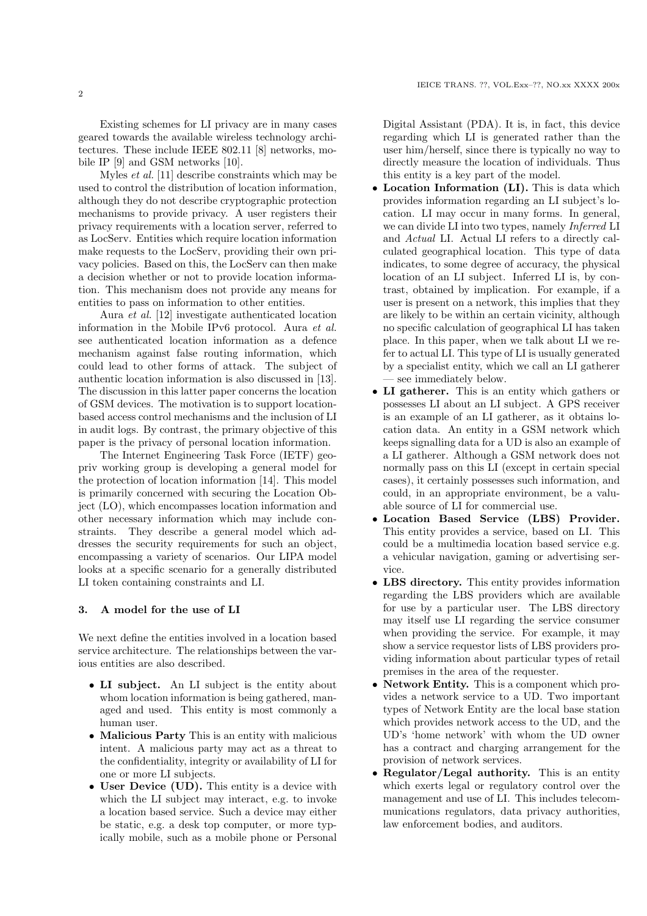Existing schemes for LI privacy are in many cases geared towards the available wireless technology architectures. These include IEEE 802.11 [8] networks, mobile IP [9] and GSM networks [10].

Myles et al. [11] describe constraints which may be used to control the distribution of location information, although they do not describe cryptographic protection mechanisms to provide privacy. A user registers their privacy requirements with a location server, referred to as LocServ. Entities which require location information make requests to the LocServ, providing their own privacy policies. Based on this, the LocServ can then make a decision whether or not to provide location information. This mechanism does not provide any means for entities to pass on information to other entities.

Aura et al. [12] investigate authenticated location information in the Mobile IPv6 protocol. Aura et al. see authenticated location information as a defence mechanism against false routing information, which could lead to other forms of attack. The subject of authentic location information is also discussed in [13]. The discussion in this latter paper concerns the location of GSM devices. The motivation is to support locationbased access control mechanisms and the inclusion of LI in audit logs. By contrast, the primary objective of this paper is the privacy of personal location information.

The Internet Engineering Task Force (IETF) geopriv working group is developing a general model for the protection of location information [14]. This model is primarily concerned with securing the Location Object (LO), which encompasses location information and other necessary information which may include constraints. They describe a general model which addresses the security requirements for such an object, encompassing a variety of scenarios. Our LIPA model looks at a specific scenario for a generally distributed LI token containing constraints and LI.

### 3. A model for the use of LI

We next define the entities involved in a location based service architecture. The relationships between the various entities are also described.

- LI subject. An LI subject is the entity about whom location information is being gathered, managed and used. This entity is most commonly a human user.
- Malicious Party This is an entity with malicious intent. A malicious party may act as a threat to the confidentiality, integrity or availability of LI for one or more LI subjects.
- User Device (UD). This entity is a device with which the LI subject may interact, e.g. to invoke a location based service. Such a device may either be static, e.g. a desk top computer, or more typically mobile, such as a mobile phone or Personal

Digital Assistant (PDA). It is, in fact, this device regarding which LI is generated rather than the user him/herself, since there is typically no way to directly measure the location of individuals. Thus this entity is a key part of the model.

- Location Information (LI). This is data which provides information regarding an LI subject's location. LI may occur in many forms. In general, we can divide LI into two types, namely Inferred LI and Actual LI. Actual LI refers to a directly calculated geographical location. This type of data indicates, to some degree of accuracy, the physical location of an LI subject. Inferred LI is, by contrast, obtained by implication. For example, if a user is present on a network, this implies that they are likely to be within an certain vicinity, although no specific calculation of geographical LI has taken place. In this paper, when we talk about LI we refer to actual LI. This type of LI is usually generated by a specialist entity, which we call an LI gatherer — see immediately below.
- LI gatherer. This is an entity which gathers or possesses LI about an LI subject. A GPS receiver is an example of an LI gatherer, as it obtains location data. An entity in a GSM network which keeps signalling data for a UD is also an example of a LI gatherer. Although a GSM network does not normally pass on this LI (except in certain special cases), it certainly possesses such information, and could, in an appropriate environment, be a valuable source of LI for commercial use.
- Location Based Service (LBS) Provider. This entity provides a service, based on LI. This could be a multimedia location based service e.g. a vehicular navigation, gaming or advertising service.
- LBS directory. This entity provides information regarding the LBS providers which are available for use by a particular user. The LBS directory may itself use LI regarding the service consumer when providing the service. For example, it may show a service requestor lists of LBS providers providing information about particular types of retail premises in the area of the requester.
- Network Entity. This is a component which provides a network service to a UD. Two important types of Network Entity are the local base station which provides network access to the UD, and the UD's 'home network' with whom the UD owner has a contract and charging arrangement for the provision of network services.
- Regulator/Legal authority. This is an entity which exerts legal or regulatory control over the management and use of LI. This includes telecommunications regulators, data privacy authorities, law enforcement bodies, and auditors.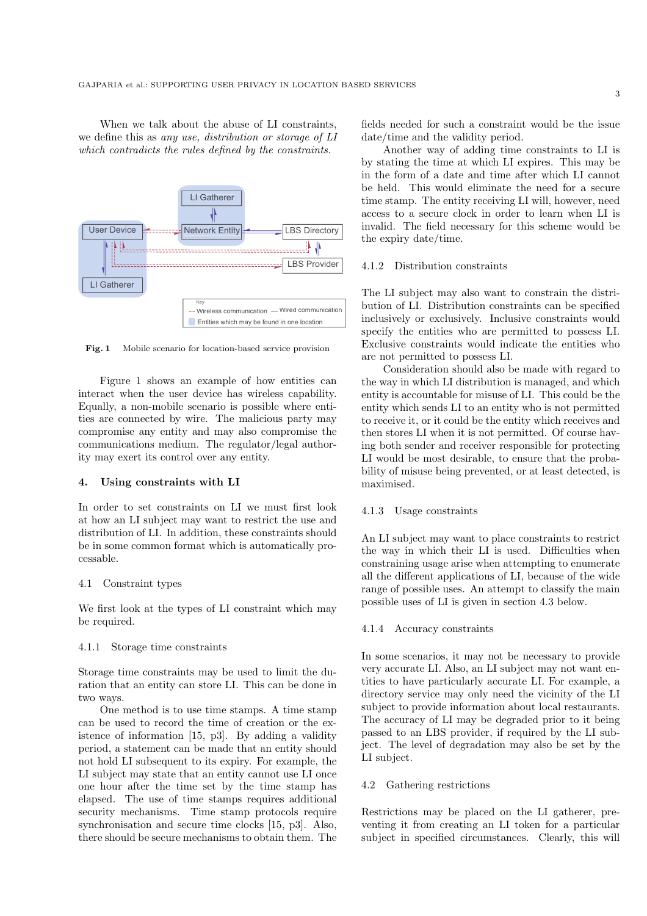When we talk about the abuse of LI constraints, we define this as any use, distribution or storage of LI which contradicts the rules defined by the constraints.



Fig. 1 Mobile scenario for location-based service provision

Figure 1 shows an example of how entities can interact when the user device has wireless capability. Equally, a non-mobile scenario is possible where entities are connected by wire. The malicious party may compromise any entity and may also compromise the communications medium. The regulator/legal authority may exert its control over any entity.

# 4. Using constraints with LI

In order to set constraints on LI we must first look at how an LI subject may want to restrict the use and distribution of LI. In addition, these constraints should be in some common format which is automatically processable.

### 4.1 Constraint types

We first look at the types of LI constraint which may be required.

# 4.1.1 Storage time constraints

Storage time constraints may be used to limit the duration that an entity can store LI. This can be done in two ways.

One method is to use time stamps. A time stamp can be used to record the time of creation or the existence of information [15, p3]. By adding a validity period, a statement can be made that an entity should not hold LI subsequent to its expiry. For example, the LI subject may state that an entity cannot use LI once one hour after the time set by the time stamp has elapsed. The use of time stamps requires additional security mechanisms. Time stamp protocols require synchronisation and secure time clocks [15, p3]. Also, there should be secure mechanisms to obtain them. The fields needed for such a constraint would be the issue date/time and the validity period.

Another way of adding time constraints to LI is by stating the time at which LI expires. This may be in the form of a date and time after which LI cannot be held. This would eliminate the need for a secure time stamp. The entity receiving LI will, however, need access to a secure clock in order to learn when LI is invalid. The field necessary for this scheme would be the expiry date/time.

# 4.1.2 Distribution constraints

The LI subject may also want to constrain the distribution of LI. Distribution constraints can be specified inclusively or exclusively. Inclusive constraints would specify the entities who are permitted to possess LI. Exclusive constraints would indicate the entities who are not permitted to possess LI.

Consideration should also be made with regard to the way in which LI distribution is managed, and which entity is accountable for misuse of LI. This could be the entity which sends LI to an entity who is not permitted to receive it, or it could be the entity which receives and then stores LI when it is not permitted. Of course having both sender and receiver responsible for protecting LI would be most desirable, to ensure that the probability of misuse being prevented, or at least detected, is maximised.

#### 4.1.3 Usage constraints

An LI subject may want to place constraints to restrict the way in which their LI is used. Difficulties when constraining usage arise when attempting to enumerate all the different applications of LI, because of the wide range of possible uses. An attempt to classify the main possible uses of LI is given in section 4.3 below.

# 4.1.4 Accuracy constraints

In some scenarios, it may not be necessary to provide very accurate LI. Also, an LI subject may not want entities to have particularly accurate LI. For example, a directory service may only need the vicinity of the LI subject to provide information about local restaurants. The accuracy of LI may be degraded prior to it being passed to an LBS provider, if required by the LI subject. The level of degradation may also be set by the LI subject.

### 4.2 Gathering restrictions

Restrictions may be placed on the LI gatherer, preventing it from creating an LI token for a particular subject in specified circumstances. Clearly, this will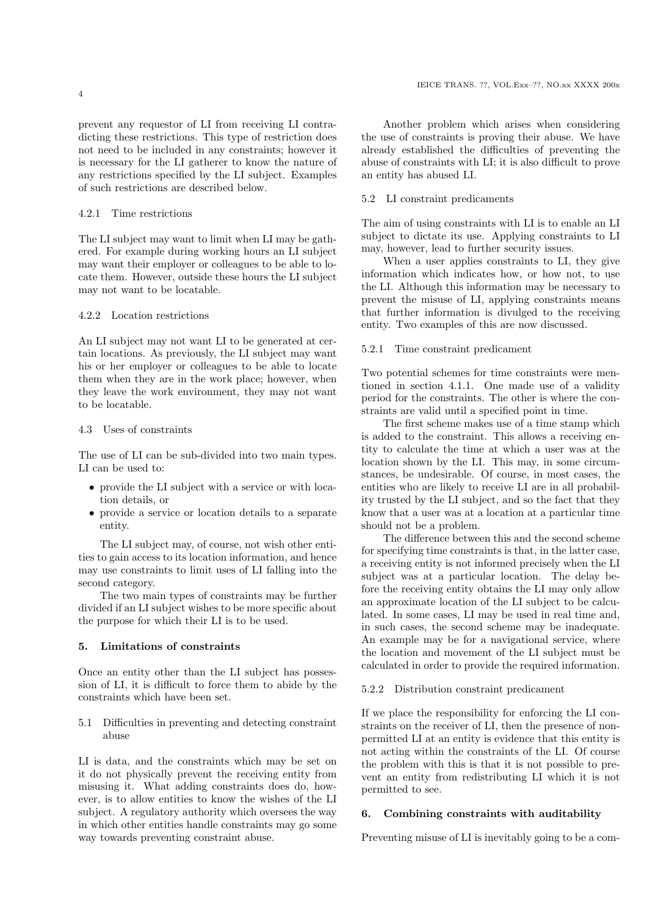prevent any requestor of LI from receiving LI contradicting these restrictions. This type of restriction does not need to be included in any constraints; however it is necessary for the LI gatherer to know the nature of any restrictions specified by the LI subject. Examples of such restrictions are described below.

# 4.2.1 Time restrictions

The LI subject may want to limit when LI may be gathered. For example during working hours an LI subject may want their employer or colleagues to be able to locate them. However, outside these hours the LI subject may not want to be locatable.

# 4.2.2 Location restrictions

An LI subject may not want LI to be generated at certain locations. As previously, the LI subject may want his or her employer or colleagues to be able to locate them when they are in the work place; however, when they leave the work environment, they may not want to be locatable.

### 4.3 Uses of constraints

The use of LI can be sub-divided into two main types. LI can be used to:

- provide the LI subject with a service or with location details, or
- provide a service or location details to a separate entity.

The LI subject may, of course, not wish other entities to gain access to its location information, and hence may use constraints to limit uses of LI falling into the second category.

The two main types of constraints may be further divided if an LI subject wishes to be more specific about the purpose for which their LI is to be used.

### 5. Limitations of constraints

Once an entity other than the LI subject has possession of LI, it is difficult to force them to abide by the constraints which have been set.

5.1 Difficulties in preventing and detecting constraint abuse

LI is data, and the constraints which may be set on it do not physically prevent the receiving entity from misusing it. What adding constraints does do, however, is to allow entities to know the wishes of the LI subject. A regulatory authority which oversees the way in which other entities handle constraints may go some way towards preventing constraint abuse.

Another problem which arises when considering the use of constraints is proving their abuse. We have already established the difficulties of preventing the abuse of constraints with LI; it is also difficult to prove an entity has abused LI.

### 5.2 LI constraint predicaments

The aim of using constraints with LI is to enable an LI subject to dictate its use. Applying constraints to LI may, however, lead to further security issues.

When a user applies constraints to LI, they give information which indicates how, or how not, to use the LI. Although this information may be necessary to prevent the misuse of LI, applying constraints means that further information is divulged to the receiving entity. Two examples of this are now discussed.

5.2.1 Time constraint predicament

Two potential schemes for time constraints were mentioned in section 4.1.1. One made use of a validity period for the constraints. The other is where the constraints are valid until a specified point in time.

The first scheme makes use of a time stamp which is added to the constraint. This allows a receiving entity to calculate the time at which a user was at the location shown by the LI. This may, in some circumstances, be undesirable. Of course, in most cases, the entities who are likely to receive LI are in all probability trusted by the LI subject, and so the fact that they know that a user was at a location at a particular time should not be a problem.

The difference between this and the second scheme for specifying time constraints is that, in the latter case, a receiving entity is not informed precisely when the LI subject was at a particular location. The delay before the receiving entity obtains the LI may only allow an approximate location of the LI subject to be calculated. In some cases, LI may be used in real time and, in such cases, the second scheme may be inadequate. An example may be for a navigational service, where the location and movement of the LI subject must be calculated in order to provide the required information.

5.2.2 Distribution constraint predicament

If we place the responsibility for enforcing the LI constraints on the receiver of LI, then the presence of nonpermitted LI at an entity is evidence that this entity is not acting within the constraints of the LI. Of course the problem with this is that it is not possible to prevent an entity from redistributing LI which it is not permitted to see.

### 6. Combining constraints with auditability

Preventing misuse of LI is inevitably going to be a com-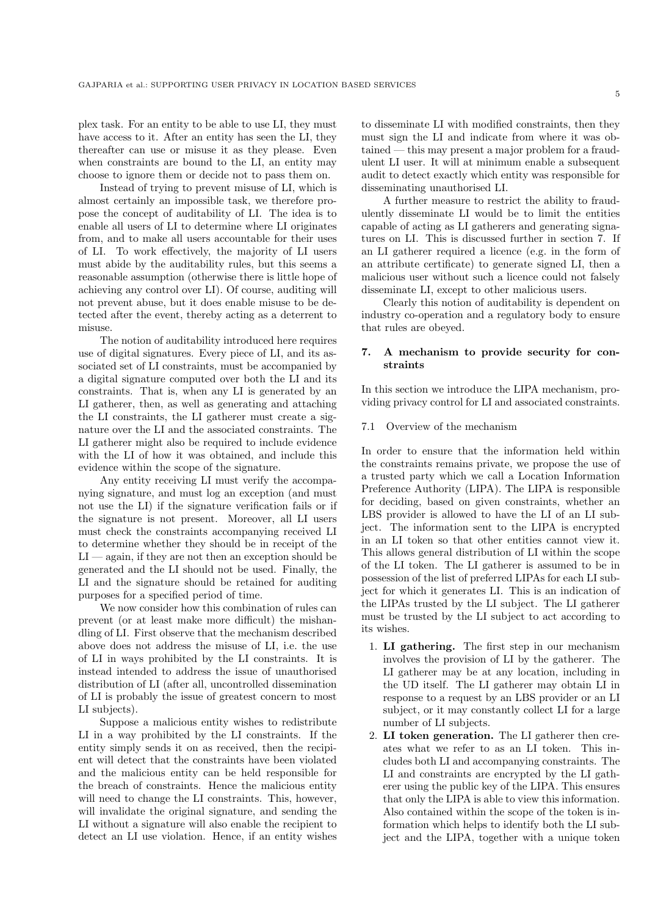plex task. For an entity to be able to use LI, they must have access to it. After an entity has seen the LI, they thereafter can use or misuse it as they please. Even when constraints are bound to the LI, an entity may choose to ignore them or decide not to pass them on.

Instead of trying to prevent misuse of LI, which is almost certainly an impossible task, we therefore propose the concept of auditability of LI. The idea is to enable all users of LI to determine where LI originates from, and to make all users accountable for their uses of LI. To work effectively, the majority of LI users must abide by the auditability rules, but this seems a reasonable assumption (otherwise there is little hope of achieving any control over LI). Of course, auditing will not prevent abuse, but it does enable misuse to be detected after the event, thereby acting as a deterrent to misuse.

The notion of auditability introduced here requires use of digital signatures. Every piece of LI, and its associated set of LI constraints, must be accompanied by a digital signature computed over both the LI and its constraints. That is, when any LI is generated by an LI gatherer, then, as well as generating and attaching the LI constraints, the LI gatherer must create a signature over the LI and the associated constraints. The LI gatherer might also be required to include evidence with the LI of how it was obtained, and include this evidence within the scope of the signature.

Any entity receiving LI must verify the accompanying signature, and must log an exception (and must not use the LI) if the signature verification fails or if the signature is not present. Moreover, all LI users must check the constraints accompanying received LI to determine whether they should be in receipt of the  $LI$  — again, if they are not then an exception should be generated and the LI should not be used. Finally, the LI and the signature should be retained for auditing purposes for a specified period of time.

We now consider how this combination of rules can prevent (or at least make more difficult) the mishandling of LI. First observe that the mechanism described above does not address the misuse of LI, i.e. the use of LI in ways prohibited by the LI constraints. It is instead intended to address the issue of unauthorised distribution of LI (after all, uncontrolled dissemination of LI is probably the issue of greatest concern to most LI subjects).

Suppose a malicious entity wishes to redistribute LI in a way prohibited by the LI constraints. If the entity simply sends it on as received, then the recipient will detect that the constraints have been violated and the malicious entity can be held responsible for the breach of constraints. Hence the malicious entity will need to change the LI constraints. This, however, will invalidate the original signature, and sending the LI without a signature will also enable the recipient to detect an LI use violation. Hence, if an entity wishes

to disseminate LI with modified constraints, then they must sign the LI and indicate from where it was obtained — this may present a major problem for a fraudulent LI user. It will at minimum enable a subsequent audit to detect exactly which entity was responsible for disseminating unauthorised LI.

A further measure to restrict the ability to fraudulently disseminate LI would be to limit the entities capable of acting as LI gatherers and generating signatures on LI. This is discussed further in section 7. If an LI gatherer required a licence (e.g. in the form of an attribute certificate) to generate signed LI, then a malicious user without such a licence could not falsely disseminate LI, except to other malicious users.

Clearly this notion of auditability is dependent on industry co-operation and a regulatory body to ensure that rules are obeyed.

# 7. A mechanism to provide security for constraints

In this section we introduce the LIPA mechanism, providing privacy control for LI and associated constraints.

7.1 Overview of the mechanism

In order to ensure that the information held within the constraints remains private, we propose the use of a trusted party which we call a Location Information Preference Authority (LIPA). The LIPA is responsible for deciding, based on given constraints, whether an LBS provider is allowed to have the LI of an LI subject. The information sent to the LIPA is encrypted in an LI token so that other entities cannot view it. This allows general distribution of LI within the scope of the LI token. The LI gatherer is assumed to be in possession of the list of preferred LIPAs for each LI subject for which it generates LI. This is an indication of the LIPAs trusted by the LI subject. The LI gatherer must be trusted by the LI subject to act according to its wishes.

- 1. LI gathering. The first step in our mechanism involves the provision of LI by the gatherer. The LI gatherer may be at any location, including in the UD itself. The LI gatherer may obtain LI in response to a request by an LBS provider or an LI subject, or it may constantly collect LI for a large number of LI subjects.
- 2. LI token generation. The LI gatherer then creates what we refer to as an LI token. This includes both LI and accompanying constraints. The LI and constraints are encrypted by the LI gatherer using the public key of the LIPA. This ensures that only the LIPA is able to view this information. Also contained within the scope of the token is information which helps to identify both the LI subject and the LIPA, together with a unique token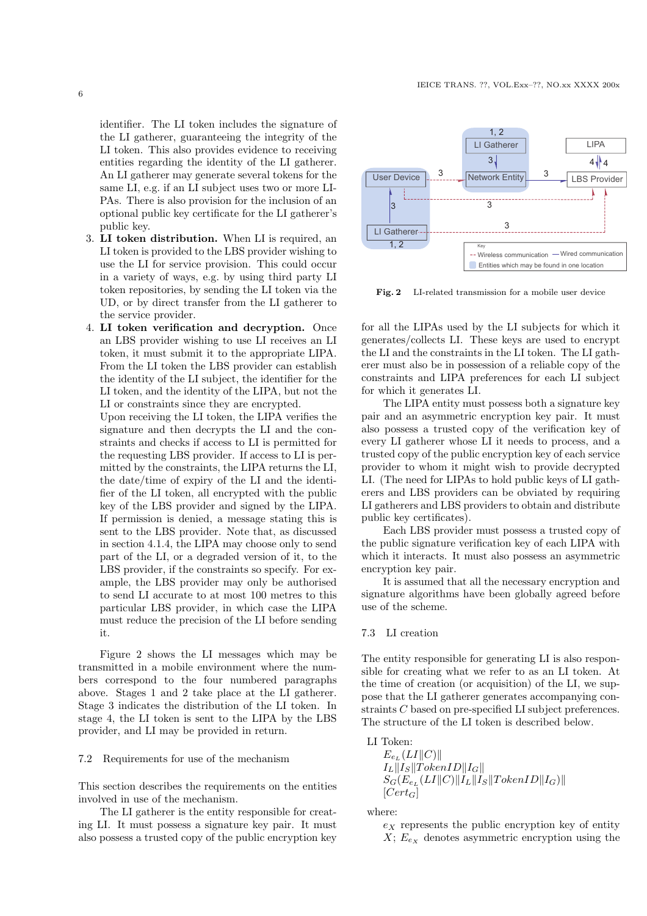identifier. The LI token includes the signature of the LI gatherer, guaranteeing the integrity of the LI token. This also provides evidence to receiving entities regarding the identity of the LI gatherer. An LI gatherer may generate several tokens for the same LI, e.g. if an LI subject uses two or more LI-PAs. There is also provision for the inclusion of an optional public key certificate for the LI gatherer's public key.

- 3. LI token distribution. When LI is required, an LI token is provided to the LBS provider wishing to use the LI for service provision. This could occur in a variety of ways, e.g. by using third party LI token repositories, by sending the LI token via the UD, or by direct transfer from the LI gatherer to the service provider.
- 4. LI token verification and decryption. Once an LBS provider wishing to use LI receives an LI token, it must submit it to the appropriate LIPA. From the LI token the LBS provider can establish the identity of the LI subject, the identifier for the LI token, and the identity of the LIPA, but not the LI or constraints since they are encrypted.

Upon receiving the LI token, the LIPA verifies the signature and then decrypts the LI and the constraints and checks if access to LI is permitted for the requesting LBS provider. If access to LI is permitted by the constraints, the LIPA returns the LI, the date/time of expiry of the LI and the identifier of the LI token, all encrypted with the public key of the LBS provider and signed by the LIPA. If permission is denied, a message stating this is sent to the LBS provider. Note that, as discussed in section 4.1.4, the LIPA may choose only to send part of the LI, or a degraded version of it, to the LBS provider, if the constraints so specify. For example, the LBS provider may only be authorised to send LI accurate to at most 100 metres to this particular LBS provider, in which case the LIPA must reduce the precision of the LI before sending it.

Figure 2 shows the LI messages which may be transmitted in a mobile environment where the numbers correspond to the four numbered paragraphs above. Stages 1 and 2 take place at the LI gatherer. Stage 3 indicates the distribution of the LI token. In stage 4, the LI token is sent to the LIPA by the LBS provider, and LI may be provided in return.

### 7.2 Requirements for use of the mechanism

This section describes the requirements on the entities involved in use of the mechanism.

The LI gatherer is the entity responsible for creating LI. It must possess a signature key pair. It must also possess a trusted copy of the public encryption key



Fig. 2 LI-related transmission for a mobile user device

for all the LIPAs used by the LI subjects for which it generates/collects LI. These keys are used to encrypt the LI and the constraints in the LI token. The LI gatherer must also be in possession of a reliable copy of the constraints and LIPA preferences for each LI subject for which it generates LI.

The LIPA entity must possess both a signature key pair and an asymmetric encryption key pair. It must also possess a trusted copy of the verification key of every LI gatherer whose LI it needs to process, and a trusted copy of the public encryption key of each service provider to whom it might wish to provide decrypted LI. (The need for LIPAs to hold public keys of LI gatherers and LBS providers can be obviated by requiring LI gatherers and LBS providers to obtain and distribute public key certificates).

Each LBS provider must possess a trusted copy of the public signature verification key of each LIPA with which it interacts. It must also possess an asymmetric encryption key pair.

It is assumed that all the necessary encryption and signature algorithms have been globally agreed before use of the scheme.

### 7.3 LI creation

The entity responsible for generating LI is also responsible for creating what we refer to as an LI token. At the time of creation (or acquisition) of the LI, we suppose that the LI gatherer generates accompanying constraints C based on pre-specified LI subject preferences. The structure of the LI token is described below.

$$
\begin{array}{l} \textrm{LI Token:}\\ E_{e_L}(LI\|C)\|\\ I_L\|I_S\|TokenID\|I_G\|\\ S_G(E_{e_L}(LI\|C)\|I_L\|I_S\|TokenID\|I_G)\|\\ [Cert_G] \end{array}
$$

where:

 $e_X$  represents the public encryption key of entity  $X; E_{e_X}$  denotes asymmetric encryption using the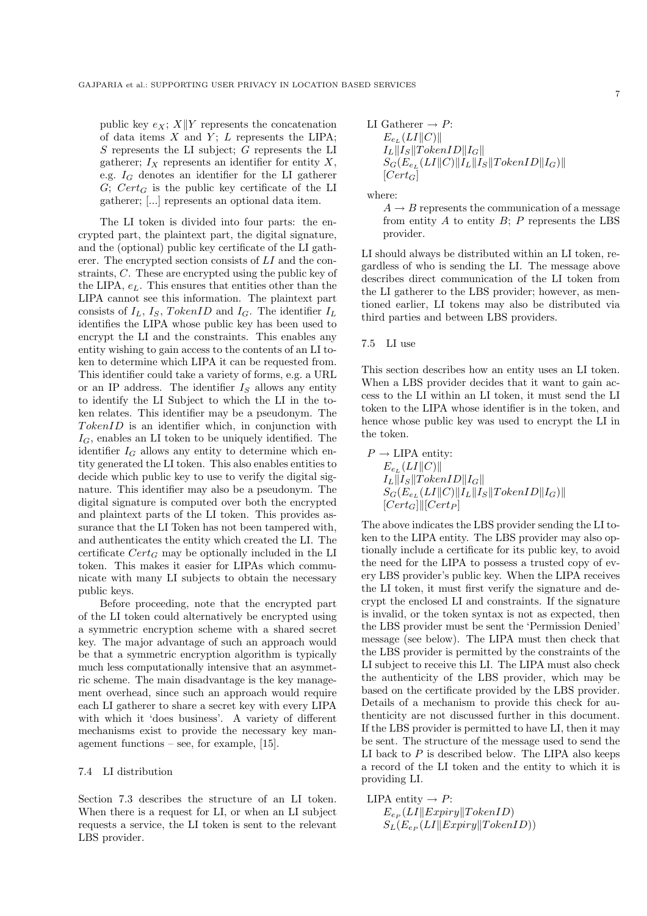public key  $e_X$ ;  $X||Y$  represents the concatenation of data items  $X$  and  $Y$ ;  $L$  represents the LIPA; S represents the LI subject; G represents the LI gatherer;  $I_X$  represents an identifier for entity  $X$ , e.g.  $I_G$  denotes an identifier for the LI gatherer G;  $Cert_G$  is the public key certificate of the LI gatherer; [...] represents an optional data item.

The LI token is divided into four parts: the encrypted part, the plaintext part, the digital signature, and the (optional) public key certificate of the LI gatherer. The encrypted section consists of LI and the constraints, C. These are encrypted using the public key of the LIPA,  $e<sub>L</sub>$ . This ensures that entities other than the LIPA cannot see this information. The plaintext part consists of  $I_L$ ,  $I_S$ , TokenID and  $I_G$ . The identifier  $I_L$ identifies the LIPA whose public key has been used to encrypt the LI and the constraints. This enables any entity wishing to gain access to the contents of an LI token to determine which LIPA it can be requested from. This identifier could take a variety of forms, e.g. a URL or an IP address. The identifier  $I<sub>S</sub>$  allows any entity to identify the LI Subject to which the LI in the token relates. This identifier may be a pseudonym. The  $TokenID$  is an identifier which, in conjunction with  $I_G$ , enables an LI token to be uniquely identified. The identifier  $I_G$  allows any entity to determine which entity generated the LI token. This also enables entities to decide which public key to use to verify the digital signature. This identifier may also be a pseudonym. The digital signature is computed over both the encrypted and plaintext parts of the LI token. This provides assurance that the LI Token has not been tampered with, and authenticates the entity which created the LI. The certificate  $Cert_G$  may be optionally included in the LI token. This makes it easier for LIPAs which communicate with many LI subjects to obtain the necessary public keys.

Before proceeding, note that the encrypted part of the LI token could alternatively be encrypted using a symmetric encryption scheme with a shared secret key. The major advantage of such an approach would be that a symmetric encryption algorithm is typically much less computationally intensive that an asymmetric scheme. The main disadvantage is the key management overhead, since such an approach would require each LI gatherer to share a secret key with every LIPA with which it 'does business'. A variety of different mechanisms exist to provide the necessary key management functions – see, for example, [15].

### 7.4 LI distribution

Section 7.3 describes the structure of an LI token. When there is a request for LI, or when an LI subject requests a service, the LI token is sent to the relevant LBS provider.

LI Gatherer  $\rightarrow$  P:  $E_{e_L}(LI||C)$  $I_L$ || $I_S$ ||TokenID|| $I_G$ ||  $S_G(E_{e_L}(LI||C)||I_L||I_S||TokenID||I_G)||$  $[Cert_G]$ 

where:

 $A \rightarrow B$  represents the communication of a message from entity  $A$  to entity  $B$ ;  $P$  represents the LBS provider.

LI should always be distributed within an LI token, regardless of who is sending the LI. The message above describes direct communication of the LI token from the LI gatherer to the LBS provider; however, as mentioned earlier, LI tokens may also be distributed via third parties and between LBS providers.

### 7.5 LI use

This section describes how an entity uses an LI token. When a LBS provider decides that it want to gain access to the LI within an LI token, it must send the LI token to the LIPA whose identifier is in the token, and hence whose public key was used to encrypt the LI in the token.

$$
P \rightarrow \text{LIPA entity:}
$$
  
\n
$$
E_{e_L}(LI||C)||
$$
  
\n
$$
I_L||I_S||TokenID||I_G||
$$
  
\n
$$
S_G(E_{e_L}(LI||C)||I_L||I_S||TokenID||I_G)||
$$
  
\n[Cert\_G]||[Cert\_P]

The above indicates the LBS provider sending the LI token to the LIPA entity. The LBS provider may also optionally include a certificate for its public key, to avoid the need for the LIPA to possess a trusted copy of every LBS provider's public key. When the LIPA receives the LI token, it must first verify the signature and decrypt the enclosed LI and constraints. If the signature is invalid, or the token syntax is not as expected, then the LBS provider must be sent the 'Permission Denied' message (see below). The LIPA must then check that the LBS provider is permitted by the constraints of the LI subject to receive this LI. The LIPA must also check the authenticity of the LBS provider, which may be based on the certificate provided by the LBS provider. Details of a mechanism to provide this check for authenticity are not discussed further in this document. If the LBS provider is permitted to have LI, then it may be sent. The structure of the message used to send the LI back to  $P$  is described below. The LIPA also keeps a record of the LI token and the entity to which it is providing LI.

LIPA entity  $\rightarrow$  P:  $E_{e_P}(LI||Expiry||TokenID)$  $S_L(E_{e_P}(LI||Expiry||TokenID))$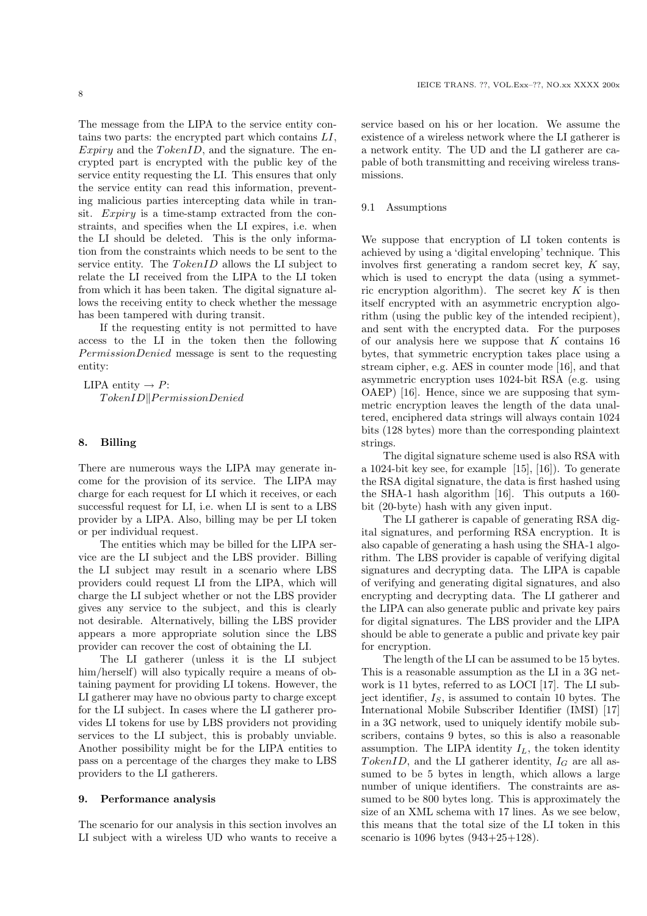The message from the LIPA to the service entity contains two parts: the encrypted part which contains LI, Expiry and the TokenID, and the signature. The encrypted part is encrypted with the public key of the service entity requesting the LI. This ensures that only the service entity can read this information, preventing malicious parties intercepting data while in transit. Expiry is a time-stamp extracted from the constraints, and specifies when the LI expires, i.e. when the LI should be deleted. This is the only information from the constraints which needs to be sent to the service entity. The  $TokenID$  allows the LI subject to relate the LI received from the LIPA to the LI token from which it has been taken. The digital signature allows the receiving entity to check whether the message has been tampered with during transit.

If the requesting entity is not permitted to have access to the LI in the token then the following PermissionDenied message is sent to the requesting entity:

LIPA entity  $\rightarrow$  P:  $TokenID||PermissionDenied$ 

# 8. Billing

There are numerous ways the LIPA may generate income for the provision of its service. The LIPA may charge for each request for LI which it receives, or each successful request for LI, i.e. when LI is sent to a LBS provider by a LIPA. Also, billing may be per LI token or per individual request.

The entities which may be billed for the LIPA service are the LI subject and the LBS provider. Billing the LI subject may result in a scenario where LBS providers could request LI from the LIPA, which will charge the LI subject whether or not the LBS provider gives any service to the subject, and this is clearly not desirable. Alternatively, billing the LBS provider appears a more appropriate solution since the LBS provider can recover the cost of obtaining the LI.

The LI gatherer (unless it is the LI subject him/herself) will also typically require a means of obtaining payment for providing LI tokens. However, the LI gatherer may have no obvious party to charge except for the LI subject. In cases where the LI gatherer provides LI tokens for use by LBS providers not providing services to the LI subject, this is probably unviable. Another possibility might be for the LIPA entities to pass on a percentage of the charges they make to LBS providers to the LI gatherers.

### 9. Performance analysis

The scenario for our analysis in this section involves an LI subject with a wireless UD who wants to receive a service based on his or her location. We assume the existence of a wireless network where the LI gatherer is a network entity. The UD and the LI gatherer are capable of both transmitting and receiving wireless transmissions.

# 9.1 Assumptions

We suppose that encryption of LI token contents is achieved by using a 'digital enveloping' technique. This involves first generating a random secret key, K say, which is used to encrypt the data (using a symmetric encryption algorithm). The secret key  $K$  is then itself encrypted with an asymmetric encryption algorithm (using the public key of the intended recipient), and sent with the encrypted data. For the purposes of our analysis here we suppose that  $K$  contains 16 bytes, that symmetric encryption takes place using a stream cipher, e.g. AES in counter mode [16], and that asymmetric encryption uses 1024-bit RSA (e.g. using OAEP) [16]. Hence, since we are supposing that symmetric encryption leaves the length of the data unaltered, enciphered data strings will always contain 1024 bits (128 bytes) more than the corresponding plaintext strings.

The digital signature scheme used is also RSA with a 1024-bit key see, for example [15], [16]). To generate the RSA digital signature, the data is first hashed using the SHA-1 hash algorithm [16]. This outputs a 160 bit (20-byte) hash with any given input.

The LI gatherer is capable of generating RSA digital signatures, and performing RSA encryption. It is also capable of generating a hash using the SHA-1 algorithm. The LBS provider is capable of verifying digital signatures and decrypting data. The LIPA is capable of verifying and generating digital signatures, and also encrypting and decrypting data. The LI gatherer and the LIPA can also generate public and private key pairs for digital signatures. The LBS provider and the LIPA should be able to generate a public and private key pair for encryption.

The length of the LI can be assumed to be 15 bytes. This is a reasonable assumption as the LI in a 3G network is 11 bytes, referred to as LOCI [17]. The LI subject identifier,  $I<sub>S</sub>$ , is assumed to contain 10 bytes. The International Mobile Subscriber Identifier (IMSI) [17] in a 3G network, used to uniquely identify mobile subscribers, contains 9 bytes, so this is also a reasonable assumption. The LIPA identity  $I_L$ , the token identity TokenID, and the LI gatherer identity,  $I_G$  are all assumed to be 5 bytes in length, which allows a large number of unique identifiers. The constraints are assumed to be 800 bytes long. This is approximately the size of an XML schema with 17 lines. As we see below, this means that the total size of the LI token in this scenario is 1096 bytes (943+25+128).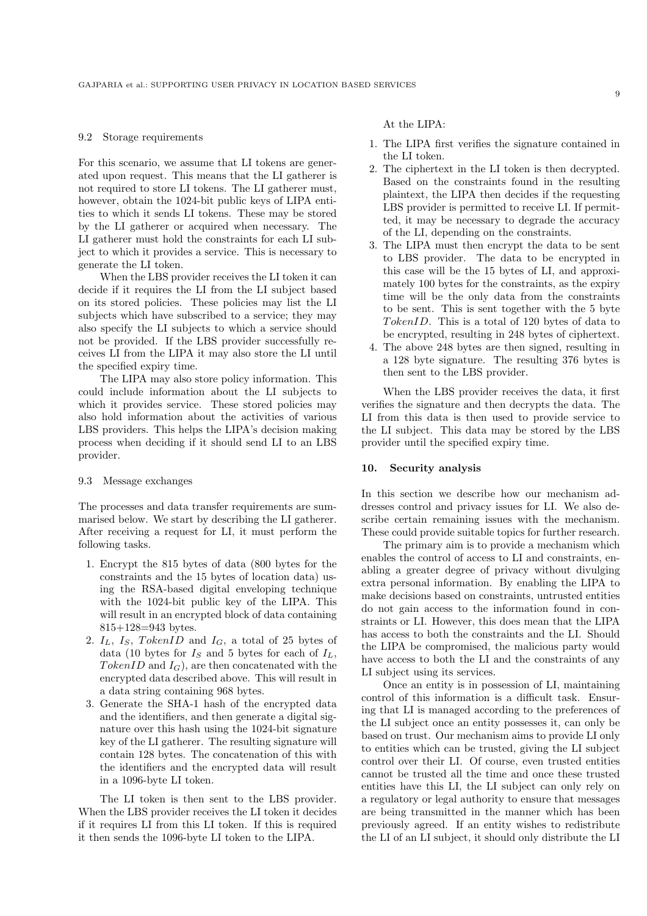### 9.2 Storage requirements

For this scenario, we assume that LI tokens are generated upon request. This means that the LI gatherer is not required to store LI tokens. The LI gatherer must, however, obtain the 1024-bit public keys of LIPA entities to which it sends LI tokens. These may be stored by the LI gatherer or acquired when necessary. The LI gatherer must hold the constraints for each LI subject to which it provides a service. This is necessary to generate the LI token.

When the LBS provider receives the LI token it can decide if it requires the LI from the LI subject based on its stored policies. These policies may list the LI subjects which have subscribed to a service; they may also specify the LI subjects to which a service should not be provided. If the LBS provider successfully receives LI from the LIPA it may also store the LI until the specified expiry time.

The LIPA may also store policy information. This could include information about the LI subjects to which it provides service. These stored policies may also hold information about the activities of various LBS providers. This helps the LIPA's decision making process when deciding if it should send LI to an LBS provider.

### 9.3 Message exchanges

The processes and data transfer requirements are summarised below. We start by describing the LI gatherer. After receiving a request for LI, it must perform the following tasks.

- 1. Encrypt the 815 bytes of data (800 bytes for the constraints and the 15 bytes of location data) using the RSA-based digital enveloping technique with the 1024-bit public key of the LIPA. This will result in an encrypted block of data containing 815+128=943 bytes.
- 2.  $I_L$ ,  $I_S$ , TokenID and  $I_G$ , a total of 25 bytes of data (10 bytes for  $I<sub>S</sub>$  and 5 bytes for each of  $I<sub>L</sub>$ , TokenID and  $I_G$ , are then concatenated with the encrypted data described above. This will result in a data string containing 968 bytes.
- 3. Generate the SHA-1 hash of the encrypted data and the identifiers, and then generate a digital signature over this hash using the 1024-bit signature key of the LI gatherer. The resulting signature will contain 128 bytes. The concatenation of this with the identifiers and the encrypted data will result in a 1096-byte LI token.

The LI token is then sent to the LBS provider. When the LBS provider receives the LI token it decides if it requires LI from this LI token. If this is required it then sends the 1096-byte LI token to the LIPA.

At the LIPA:

- 1. The LIPA first verifies the signature contained in the LI token.
- 2. The ciphertext in the LI token is then decrypted. Based on the constraints found in the resulting plaintext, the LIPA then decides if the requesting LBS provider is permitted to receive LI. If permitted, it may be necessary to degrade the accuracy of the LI, depending on the constraints.
- 3. The LIPA must then encrypt the data to be sent to LBS provider. The data to be encrypted in this case will be the 15 bytes of LI, and approximately 100 bytes for the constraints, as the expiry time will be the only data from the constraints to be sent. This is sent together with the 5 byte TokenID. This is a total of 120 bytes of data to be encrypted, resulting in 248 bytes of ciphertext.
- 4. The above 248 bytes are then signed, resulting in a 128 byte signature. The resulting 376 bytes is then sent to the LBS provider.

When the LBS provider receives the data, it first verifies the signature and then decrypts the data. The LI from this data is then used to provide service to the LI subject. This data may be stored by the LBS provider until the specified expiry time.

# 10. Security analysis

In this section we describe how our mechanism addresses control and privacy issues for LI. We also describe certain remaining issues with the mechanism. These could provide suitable topics for further research.

The primary aim is to provide a mechanism which enables the control of access to LI and constraints, enabling a greater degree of privacy without divulging extra personal information. By enabling the LIPA to make decisions based on constraints, untrusted entities do not gain access to the information found in constraints or LI. However, this does mean that the LIPA has access to both the constraints and the LI. Should the LIPA be compromised, the malicious party would have access to both the LI and the constraints of any LI subject using its services.

Once an entity is in possession of LI, maintaining control of this information is a difficult task. Ensuring that LI is managed according to the preferences of the LI subject once an entity possesses it, can only be based on trust. Our mechanism aims to provide LI only to entities which can be trusted, giving the LI subject control over their LI. Of course, even trusted entities cannot be trusted all the time and once these trusted entities have this LI, the LI subject can only rely on a regulatory or legal authority to ensure that messages are being transmitted in the manner which has been previously agreed. If an entity wishes to redistribute the LI of an LI subject, it should only distribute the LI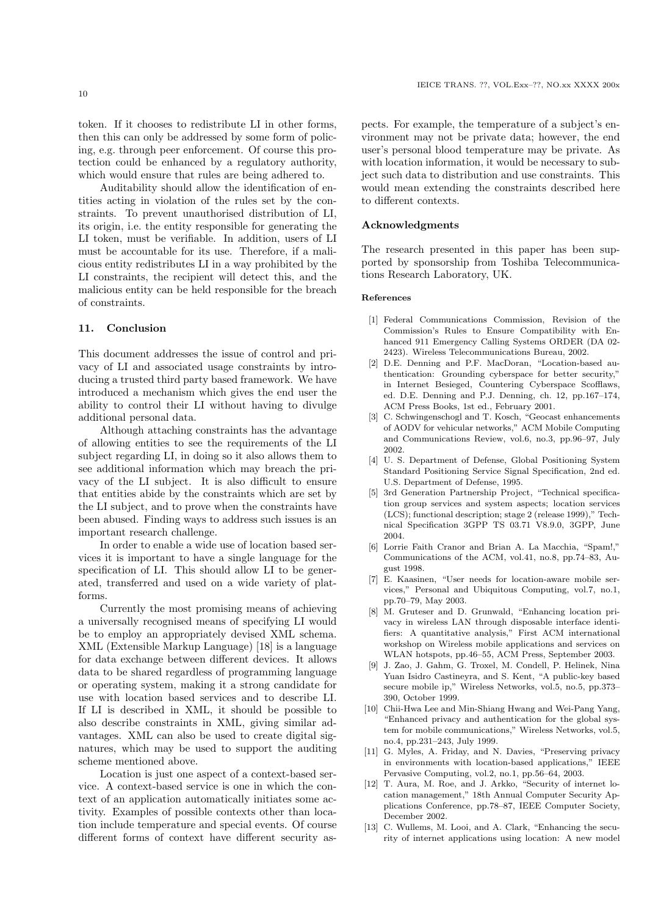Auditability should allow the identification of entities acting in violation of the rules set by the constraints. To prevent unauthorised distribution of LI, its origin, i.e. the entity responsible for generating the LI token, must be verifiable. In addition, users of LI must be accountable for its use. Therefore, if a malicious entity redistributes LI in a way prohibited by the LI constraints, the recipient will detect this, and the malicious entity can be held responsible for the breach of constraints.

# 11. Conclusion

This document addresses the issue of control and privacy of LI and associated usage constraints by introducing a trusted third party based framework. We have introduced a mechanism which gives the end user the ability to control their LI without having to divulge additional personal data.

Although attaching constraints has the advantage of allowing entities to see the requirements of the LI subject regarding LI, in doing so it also allows them to see additional information which may breach the privacy of the LI subject. It is also difficult to ensure that entities abide by the constraints which are set by the LI subject, and to prove when the constraints have been abused. Finding ways to address such issues is an important research challenge.

In order to enable a wide use of location based services it is important to have a single language for the specification of LI. This should allow LI to be generated, transferred and used on a wide variety of platforms.

Currently the most promising means of achieving a universally recognised means of specifying LI would be to employ an appropriately devised XML schema. XML (Extensible Markup Language) [18] is a language for data exchange between different devices. It allows data to be shared regardless of programming language or operating system, making it a strong candidate for use with location based services and to describe LI. If LI is described in XML, it should be possible to also describe constraints in XML, giving similar advantages. XML can also be used to create digital signatures, which may be used to support the auditing scheme mentioned above.

Location is just one aspect of a context-based service. A context-based service is one in which the context of an application automatically initiates some activity. Examples of possible contexts other than location include temperature and special events. Of course different forms of context have different security aspects. For example, the temperature of a subject's environment may not be private data; however, the end user's personal blood temperature may be private. As with location information, it would be necessary to subject such data to distribution and use constraints. This would mean extending the constraints described here to different contexts.

### Acknowledgments

The research presented in this paper has been supported by sponsorship from Toshiba Telecommunications Research Laboratory, UK.

### References

- [1] Federal Communications Commission, Revision of the Commission's Rules to Ensure Compatibility with Enhanced 911 Emergency Calling Systems ORDER (DA 02- 2423). Wireless Telecommunications Bureau, 2002.
- [2] D.E. Denning and P.F. MacDoran, "Location-based authentication: Grounding cyberspace for better security," in Internet Besieged, Countering Cyberspace Scofflaws, ed. D.E. Denning and P.J. Denning, ch. 12, pp.167–174, ACM Press Books, 1st ed., February 2001.
- [3] C. Schwingenschogl and T. Kosch, "Geocast enhancements of AODV for vehicular networks," ACM Mobile Computing and Communications Review, vol.6, no.3, pp.96–97, July 2002.
- [4] U. S. Department of Defense, Global Positioning System Standard Positioning Service Signal Specification, 2nd ed. U.S. Department of Defense, 1995.
- [5] 3rd Generation Partnership Project, "Technical specification group services and system aspects; location services (LCS); functional description; stage 2 (release 1999)," Technical Specification 3GPP TS 03.71 V8.9.0, 3GPP, June 2004.
- [6] Lorrie Faith Cranor and Brian A. La Macchia, "Spam!," Communications of the ACM, vol.41, no.8, pp.74–83, August 1998.
- [7] E. Kaasinen, "User needs for location-aware mobile services," Personal and Ubiquitous Computing, vol.7, no.1, pp.70–79, May 2003.
- [8] M. Gruteser and D. Grunwald, "Enhancing location privacy in wireless LAN through disposable interface identifiers: A quantitative analysis," First ACM international workshop on Wireless mobile applications and services on WLAN hotspots, pp.46–55, ACM Press, September 2003.
- [9] J. Zao, J. Gahm, G. Troxel, M. Condell, P. Helinek, Nina Yuan Isidro Castineyra, and S. Kent, "A public-key based secure mobile ip," Wireless Networks, vol.5, no.5, pp.373– 390, October 1999.
- [10] Chii-Hwa Lee and Min-Shiang Hwang and Wei-Pang Yang, "Enhanced privacy and authentication for the global system for mobile communications," Wireless Networks, vol.5, no.4, pp.231–243, July 1999.
- [11] G. Myles, A. Friday, and N. Davies, "Preserving privacy in environments with location-based applications," IEEE Pervasive Computing, vol.2, no.1, pp.56–64, 2003.
- [12] T. Aura, M. Roe, and J. Arkko, "Security of internet location management," 18th Annual Computer Security Applications Conference, pp.78–87, IEEE Computer Society, December 2002.
- [13] C. Wullems, M. Looi, and A. Clark, "Enhancing the security of internet applications using location: A new model